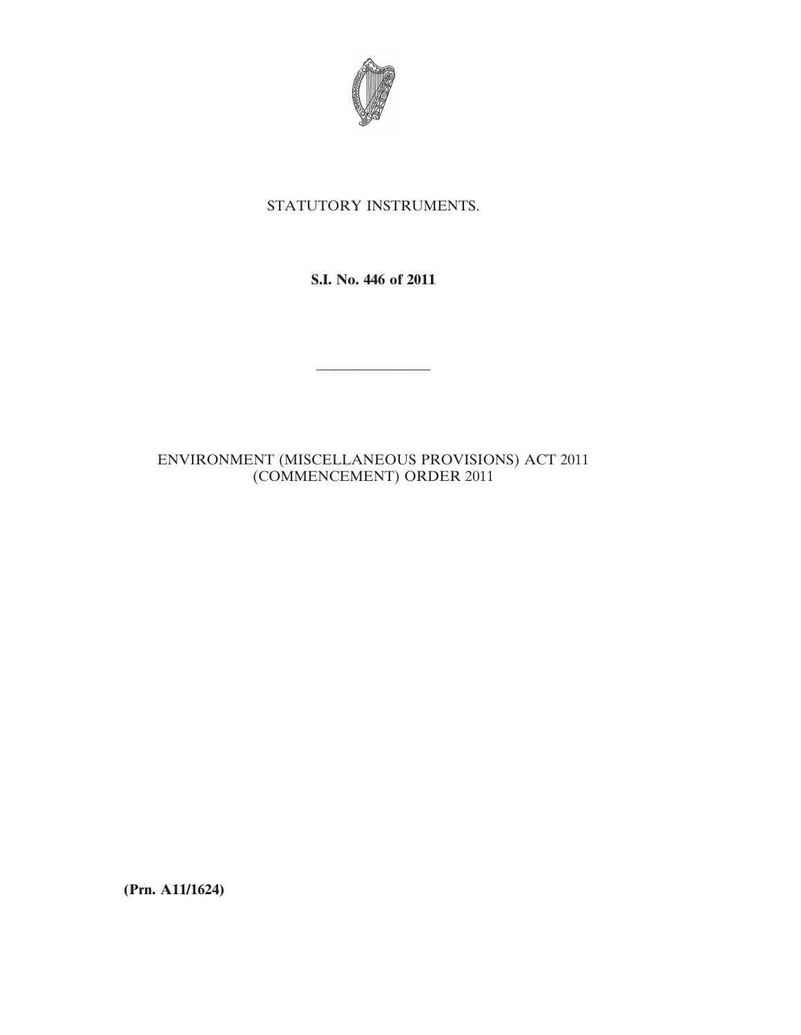

## STATUTORY INSTRUMENTS.

**S.I. No. 446 of 2011**

————————

## ENVIRONMENT (MISCELLANEOUS PROVISIONS) ACT 2011 (COMMENCEMENT) ORDER 2011

**(Prn. A11/1624)**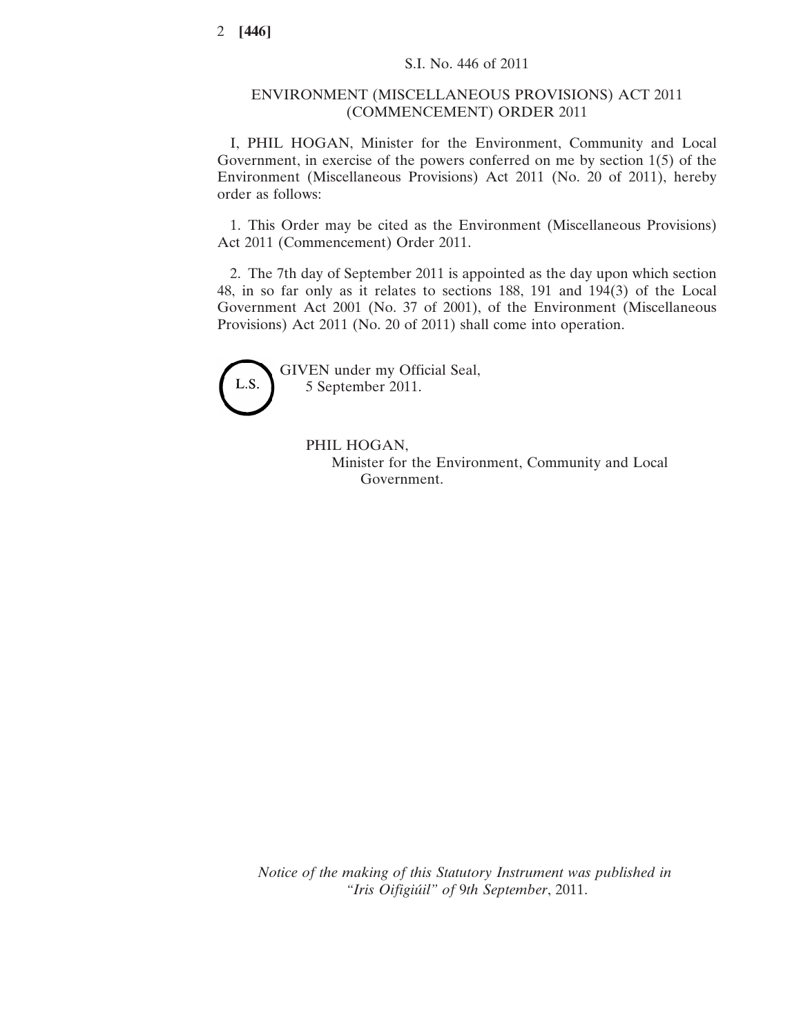## ENVIRONMENT (MISCELLANEOUS PROVISIONS) ACT 2011 (COMMENCEMENT) ORDER 2011

I, PHIL HOGAN, Minister for the Environment, Community and Local Government, in exercise of the powers conferred on me by section 1(5) of the Environment (Miscellaneous Provisions) Act 2011 (No. 20 of 2011), hereby order as follows:

1. This Order may be cited as the Environment (Miscellaneous Provisions) Act 2011 (Commencement) Order 2011.

2. The 7th day of September 2011 is appointed as the day upon which section 48, in so far only as it relates to sections 188, 191 and 194(3) of the Local Government Act 2001 (No. 37 of 2001), of the Environment (Miscellaneous Provisions) Act 2011 (No. 20 of 2011) shall come into operation.



GIVEN under my Official Seal, 5 September 2011.

> PHIL HOGAN, Minister for the Environment, Community and Local Government.

*Notice of the making of this Statutory Instrument was published in "Iris Oifigiúil" of* 9*th September*, 2011.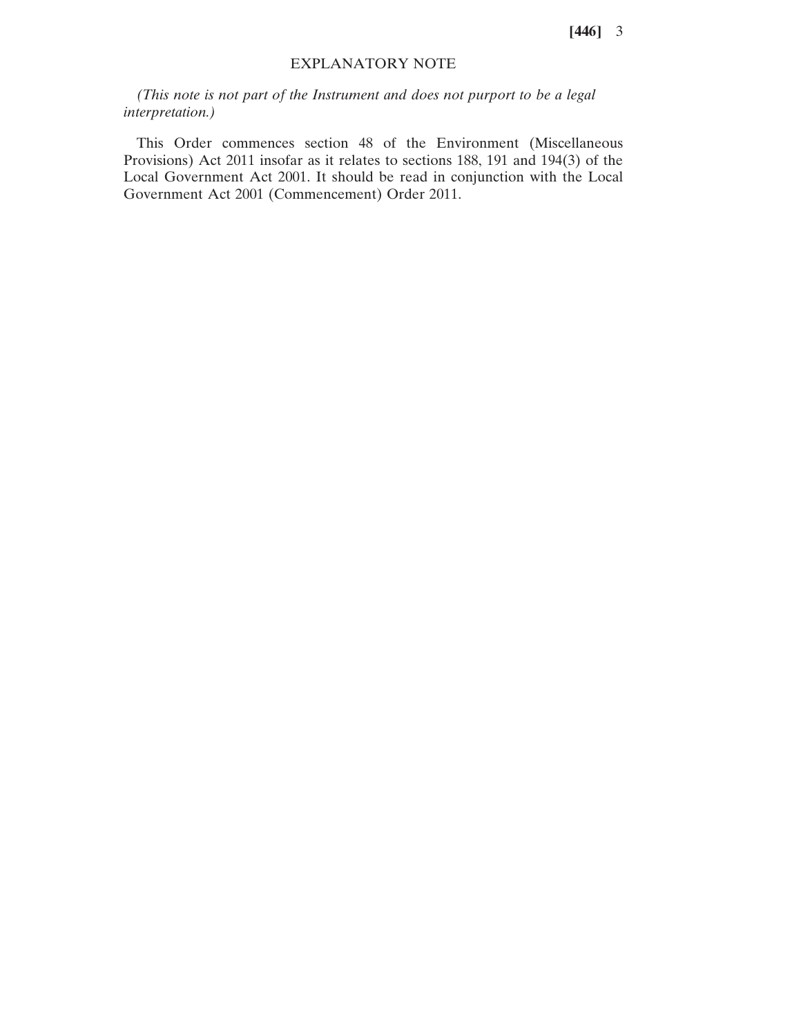**[446]** 3

## EXPLANATORY NOTE

*(This note is not part of the Instrument and does not purport to be a legal interpretation.)*

This Order commences section 48 of the Environment (Miscellaneous Provisions) Act 2011 insofar as it relates to sections 188, 191 and 194(3) of the Local Government Act 2001. It should be read in conjunction with the Local Government Act 2001 (Commencement) Order 2011.